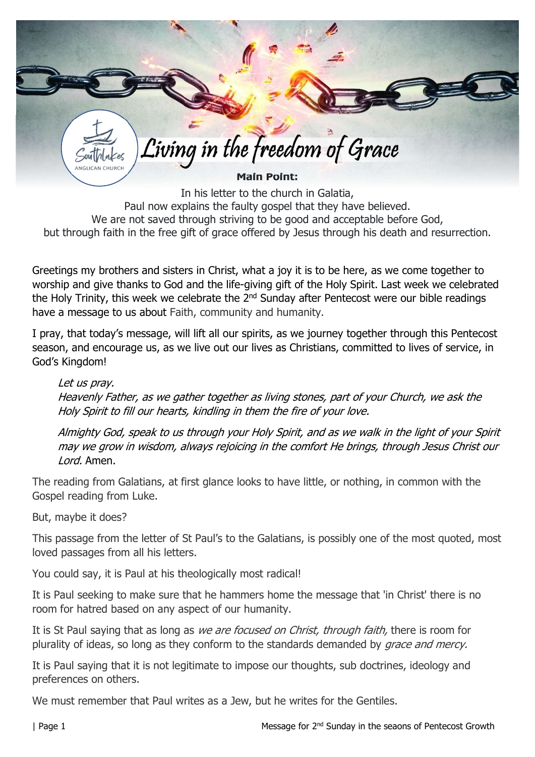

Paul now explains the faulty gospel that they have believed. We are not saved through striving to be good and acceptable before God, but through faith in the free gift of grace offered by Jesus through his death and resurrection.

Greetings my brothers and sisters in Christ, what a joy it is to be here, as we come together to worship and give thanks to God and the life-giving gift of the Holy Spirit. Last week we celebrated the Holy Trinity, this week we celebrate the  $2<sup>nd</sup>$  Sunday after Pentecost were our bible readings have a message to us about Faith, community and humanity.

I pray, that today's message, will lift all our spirits, as we journey together through this Pentecost season, and encourage us, as we live out our lives as Christians, committed to lives of service, in God's Kingdom!

Let us pray. Heavenly Father, as we gather together as living stones, part of your Church, we ask the Holy Spirit to fill our hearts, kindling in them the fire of your love.

Almighty God, speak to us through your Holy Spirit, and as we walk in the light of your Spirit may we grow in wisdom, always rejoicing in the comfort He brings, through Jesus Christ our Lord. Amen.

The reading from Galatians, at first glance looks to have little, or nothing, in common with the Gospel reading from Luke.

But, maybe it does?

This passage from the letter of St Paul's to the Galatians, is possibly one of the most quoted, most loved passages from all his letters.

You could say, it is Paul at his theologically most radical!

It is Paul seeking to make sure that he hammers home the message that 'in Christ' there is no room for hatred based on any aspect of our humanity.

It is St Paul saying that as long as we are focused on Christ, through faith, there is room for plurality of ideas, so long as they conform to the standards demanded by *grace and mercy*.

It is Paul saying that it is not legitimate to impose our thoughts, sub doctrines, ideology and preferences on others.

We must remember that Paul writes as a Jew, but he writes for the Gentiles.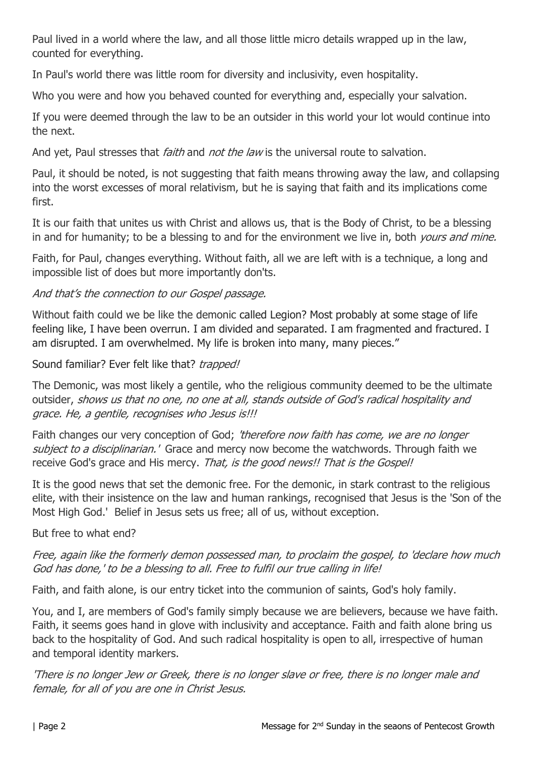Paul lived in a world where the law, and all those little micro details wrapped up in the law, counted for everything.

In Paul's world there was little room for diversity and inclusivity, even hospitality.

Who you were and how you behaved counted for everything and, especially your salvation.

If you were deemed through the law to be an outsider in this world your lot would continue into the next.

And yet, Paul stresses that *faith* and *not the law* is the universal route to salvation.

Paul, it should be noted, is not suggesting that faith means throwing away the law, and collapsing into the worst excesses of moral relativism, but he is saying that faith and its implications come first.

It is our faith that unites us with Christ and allows us, that is the Body of Christ, to be a blessing in and for humanity; to be a blessing to and for the environment we live in, both *yours and mine.* 

Faith, for Paul, changes everything. Without faith, all we are left with is a technique, a long and impossible list of does but more importantly don'ts.

And that's the connection to our Gospel passage.

Without faith could we be like the demonic called Legion? Most probably at some stage of life feeling like, I have been overrun. I am divided and separated. I am fragmented and fractured. I am disrupted. I am overwhelmed. My life is broken into many, many pieces."

Sound familiar? Ever felt like that? trapped!

The Demonic, was most likely a gentile, who the religious community deemed to be the ultimate outsider, shows us that no one, no one at all, stands outside of God's radical hospitality and grace. He, a gentile, recognises who Jesus is!!!

Faith changes our very conception of God; 'therefore now faith has come, we are no longer subject to a disciplinarian.' Grace and mercy now become the watchwords. Through faith we receive God's grace and His mercy. That, is the good news!! That is the Gospel!

It is the good news that set the demonic free. For the demonic, in stark contrast to the religious elite, with their insistence on the law and human rankings, recognised that Jesus is the 'Son of the Most High God.' Belief in Jesus sets us free; all of us, without exception.

But free to what end?

## Free, again like the formerly demon possessed man, to proclaim the gospel, to 'declare how much God has done,' to be a blessing to all. Free to fulfil our true calling in life!

Faith, and faith alone, is our entry ticket into the communion of saints, God's holy family.

You, and I, are members of God's family simply because we are believers, because we have faith. Faith, it seems goes hand in glove with inclusivity and acceptance. Faith and faith alone bring us back to the hospitality of God. And such radical hospitality is open to all, irrespective of human and temporal identity markers.

'There is no longer Jew or Greek, there is no longer slave or free, there is no longer male and female, for all of you are one in Christ Jesus.